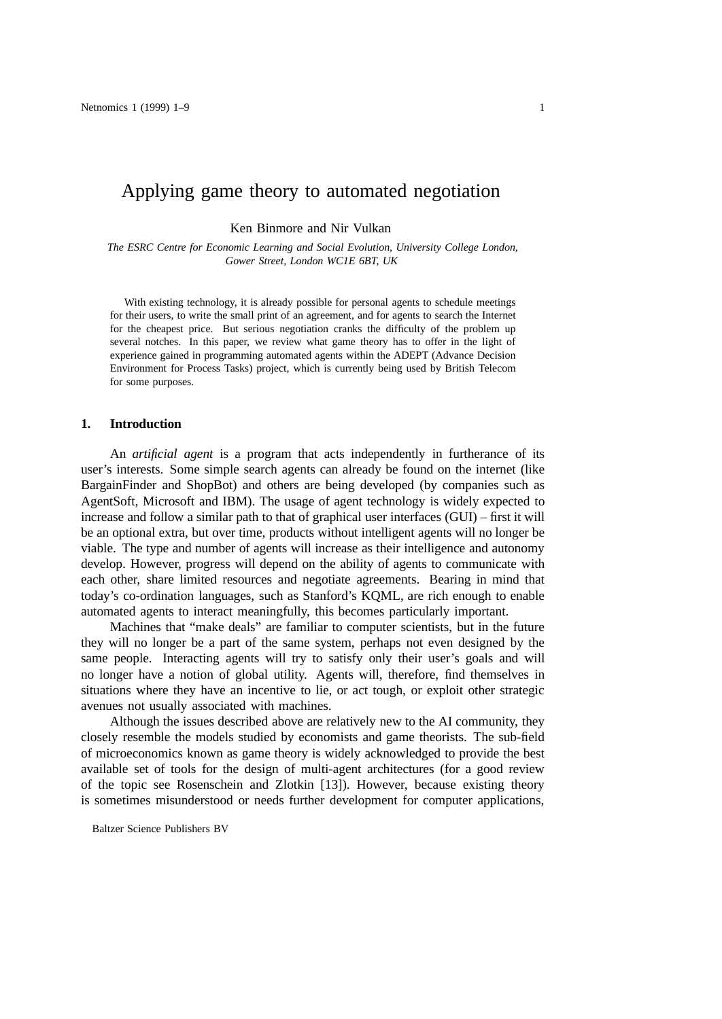# Applying game theory to automated negotiation

Ken Binmore and Nir Vulkan

*The ESRC Centre for Economic Learning and Social Evolution, University College London, Gower Street, London WC1E 6BT, UK*

With existing technology, it is already possible for personal agents to schedule meetings for their users, to write the small print of an agreement, and for agents to search the Internet for the cheapest price. But serious negotiation cranks the difficulty of the problem up several notches. In this paper, we review what game theory has to offer in the light of experience gained in programming automated agents within the ADEPT (Advance Decision Environment for Process Tasks) project, which is currently being used by British Telecom for some purposes.

# **1. Introduction**

An *artificial agent* is a program that acts independently in furtherance of its user's interests. Some simple search agents can already be found on the internet (like BargainFinder and ShopBot) and others are being developed (by companies such as AgentSoft, Microsoft and IBM). The usage of agent technology is widely expected to increase and follow a similar path to that of graphical user interfaces (GUI) – first it will be an optional extra, but over time, products without intelligent agents will no longer be viable. The type and number of agents will increase as their intelligence and autonomy develop. However, progress will depend on the ability of agents to communicate with each other, share limited resources and negotiate agreements. Bearing in mind that today's co-ordination languages, such as Stanford's KQML, are rich enough to enable automated agents to interact meaningfully, this becomes particularly important.

Machines that "make deals" are familiar to computer scientists, but in the future they will no longer be a part of the same system, perhaps not even designed by the same people. Interacting agents will try to satisfy only their user's goals and will no longer have a notion of global utility. Agents will, therefore, find themselves in situations where they have an incentive to lie, or act tough, or exploit other strategic avenues not usually associated with machines.

Although the issues described above are relatively new to the AI community, they closely resemble the models studied by economists and game theorists. The sub-field of microeconomics known as game theory is widely acknowledged to provide the best available set of tools for the design of multi-agent architectures (for a good review of the topic see Rosenschein and Zlotkin [13]). However, because existing theory is sometimes misunderstood or needs further development for computer applications,

Baltzer Science Publishers BV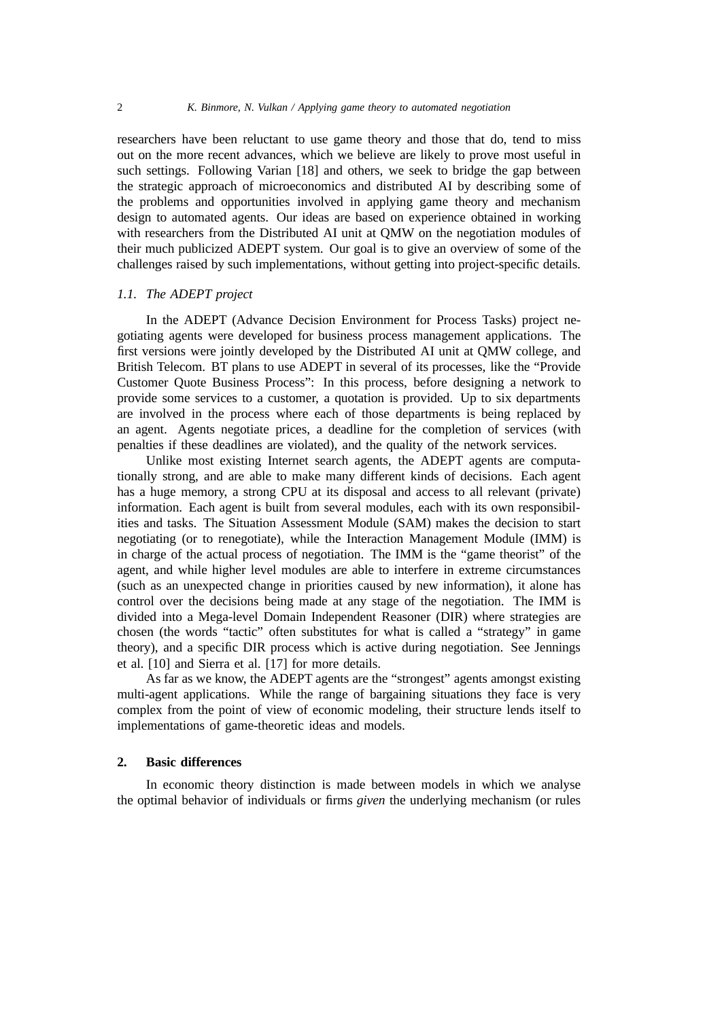researchers have been reluctant to use game theory and those that do, tend to miss out on the more recent advances, which we believe are likely to prove most useful in such settings. Following Varian [18] and others, we seek to bridge the gap between the strategic approach of microeconomics and distributed AI by describing some of the problems and opportunities involved in applying game theory and mechanism design to automated agents. Our ideas are based on experience obtained in working with researchers from the Distributed AI unit at QMW on the negotiation modules of their much publicized ADEPT system. Our goal is to give an overview of some of the challenges raised by such implementations, without getting into project-specific details.

### *1.1. The ADEPT project*

In the ADEPT (Advance Decision Environment for Process Tasks) project negotiating agents were developed for business process management applications. The first versions were jointly developed by the Distributed AI unit at QMW college, and British Telecom. BT plans to use ADEPT in several of its processes, like the "Provide Customer Quote Business Process": In this process, before designing a network to provide some services to a customer, a quotation is provided. Up to six departments are involved in the process where each of those departments is being replaced by an agent. Agents negotiate prices, a deadline for the completion of services (with penalties if these deadlines are violated), and the quality of the network services.

Unlike most existing Internet search agents, the ADEPT agents are computationally strong, and are able to make many different kinds of decisions. Each agent has a huge memory, a strong CPU at its disposal and access to all relevant (private) information. Each agent is built from several modules, each with its own responsibilities and tasks. The Situation Assessment Module (SAM) makes the decision to start negotiating (or to renegotiate), while the Interaction Management Module (IMM) is in charge of the actual process of negotiation. The IMM is the "game theorist" of the agent, and while higher level modules are able to interfere in extreme circumstances (such as an unexpected change in priorities caused by new information), it alone has control over the decisions being made at any stage of the negotiation. The IMM is divided into a Mega-level Domain Independent Reasoner (DIR) where strategies are chosen (the words "tactic" often substitutes for what is called a "strategy" in game theory), and a specific DIR process which is active during negotiation. See Jennings et al. [10] and Sierra et al. [17] for more details.

As far as we know, the ADEPT agents are the "strongest" agents amongst existing multi-agent applications. While the range of bargaining situations they face is very complex from the point of view of economic modeling, their structure lends itself to implementations of game-theoretic ideas and models.

### **2. Basic differences**

In economic theory distinction is made between models in which we analyse the optimal behavior of individuals or firms *given* the underlying mechanism (or rules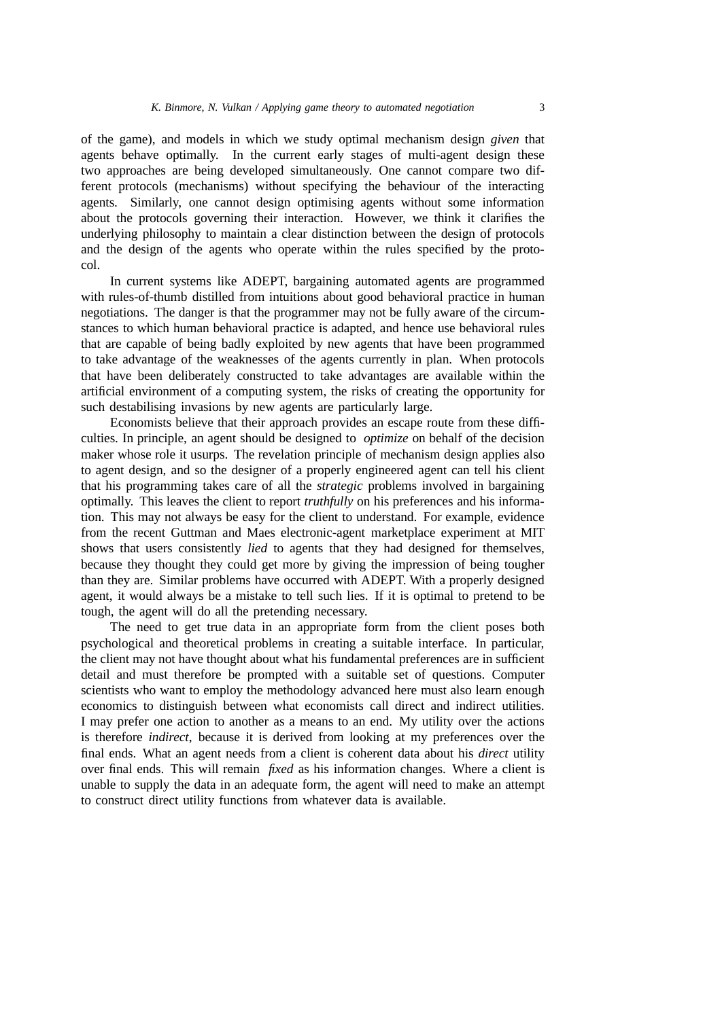of the game), and models in which we study optimal mechanism design *given* that agents behave optimally. In the current early stages of multi-agent design these two approaches are being developed simultaneously. One cannot compare two different protocols (mechanisms) without specifying the behaviour of the interacting agents. Similarly, one cannot design optimising agents without some information about the protocols governing their interaction. However, we think it clarifies the underlying philosophy to maintain a clear distinction between the design of protocols and the design of the agents who operate within the rules specified by the protocol.

In current systems like ADEPT, bargaining automated agents are programmed with rules-of-thumb distilled from intuitions about good behavioral practice in human negotiations. The danger is that the programmer may not be fully aware of the circumstances to which human behavioral practice is adapted, and hence use behavioral rules that are capable of being badly exploited by new agents that have been programmed to take advantage of the weaknesses of the agents currently in plan. When protocols that have been deliberately constructed to take advantages are available within the artificial environment of a computing system, the risks of creating the opportunity for such destabilising invasions by new agents are particularly large.

Economists believe that their approach provides an escape route from these difficulties. In principle, an agent should be designed to *optimize* on behalf of the decision maker whose role it usurps. The revelation principle of mechanism design applies also to agent design, and so the designer of a properly engineered agent can tell his client that his programming takes care of all the *strategic* problems involved in bargaining optimally. This leaves the client to report *truthfully* on his preferences and his information. This may not always be easy for the client to understand. For example, evidence from the recent Guttman and Maes electronic-agent marketplace experiment at MIT shows that users consistently *lied* to agents that they had designed for themselves, because they thought they could get more by giving the impression of being tougher than they are. Similar problems have occurred with ADEPT. With a properly designed agent, it would always be a mistake to tell such lies. If it is optimal to pretend to be tough, the agent will do all the pretending necessary.

The need to get true data in an appropriate form from the client poses both psychological and theoretical problems in creating a suitable interface. In particular, the client may not have thought about what his fundamental preferences are in sufficient detail and must therefore be prompted with a suitable set of questions. Computer scientists who want to employ the methodology advanced here must also learn enough economics to distinguish between what economists call direct and indirect utilities. I may prefer one action to another as a means to an end. My utility over the actions is therefore *indirect*, because it is derived from looking at my preferences over the final ends. What an agent needs from a client is coherent data about his *direct* utility over final ends. This will remain *fixed* as his information changes. Where a client is unable to supply the data in an adequate form, the agent will need to make an attempt to construct direct utility functions from whatever data is available.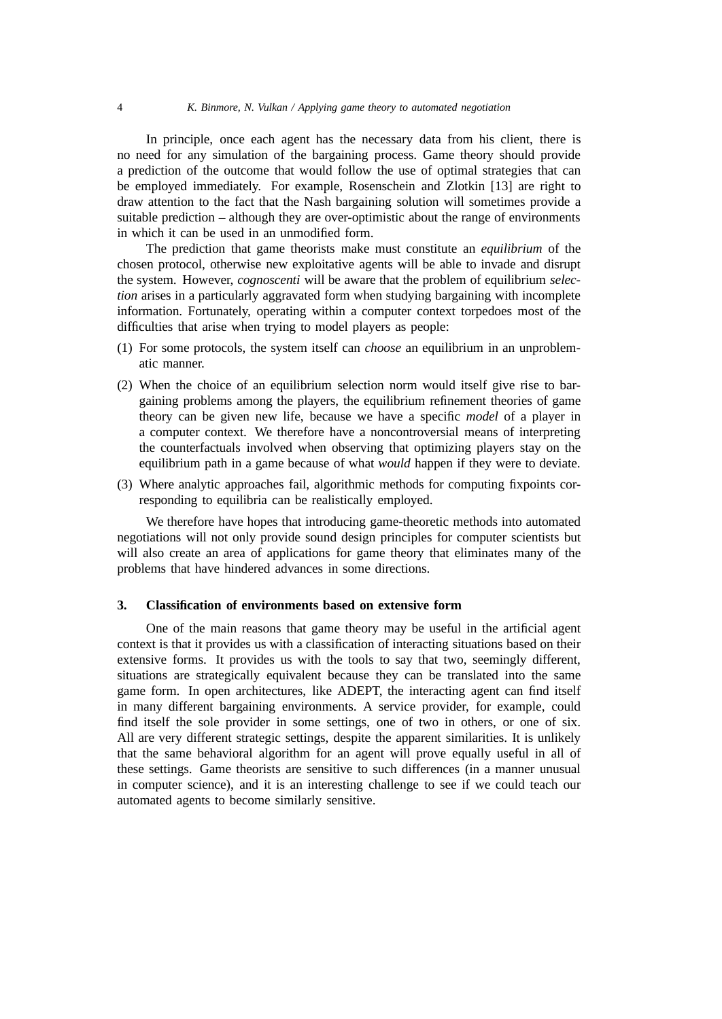In principle, once each agent has the necessary data from his client, there is no need for any simulation of the bargaining process. Game theory should provide a prediction of the outcome that would follow the use of optimal strategies that can be employed immediately. For example, Rosenschein and Zlotkin [13] are right to draw attention to the fact that the Nash bargaining solution will sometimes provide a suitable prediction – although they are over-optimistic about the range of environments in which it can be used in an unmodified form.

The prediction that game theorists make must constitute an *equilibrium* of the chosen protocol, otherwise new exploitative agents will be able to invade and disrupt the system. However, *cognoscenti* will be aware that the problem of equilibrium *selection* arises in a particularly aggravated form when studying bargaining with incomplete information. Fortunately, operating within a computer context torpedoes most of the difficulties that arise when trying to model players as people:

- (1) For some protocols, the system itself can *choose* an equilibrium in an unproblematic manner.
- (2) When the choice of an equilibrium selection norm would itself give rise to bargaining problems among the players, the equilibrium refinement theories of game theory can be given new life, because we have a specific *model* of a player in a computer context. We therefore have a noncontroversial means of interpreting the counterfactuals involved when observing that optimizing players stay on the equilibrium path in a game because of what *would* happen if they were to deviate.
- (3) Where analytic approaches fail, algorithmic methods for computing fixpoints corresponding to equilibria can be realistically employed.

We therefore have hopes that introducing game-theoretic methods into automated negotiations will not only provide sound design principles for computer scientists but will also create an area of applications for game theory that eliminates many of the problems that have hindered advances in some directions.

### **3. Classification of environments based on extensive form**

One of the main reasons that game theory may be useful in the artificial agent context is that it provides us with a classification of interacting situations based on their extensive forms. It provides us with the tools to say that two, seemingly different, situations are strategically equivalent because they can be translated into the same game form. In open architectures, like ADEPT, the interacting agent can find itself in many different bargaining environments. A service provider, for example, could find itself the sole provider in some settings, one of two in others, or one of six. All are very different strategic settings, despite the apparent similarities. It is unlikely that the same behavioral algorithm for an agent will prove equally useful in all of these settings. Game theorists are sensitive to such differences (in a manner unusual in computer science), and it is an interesting challenge to see if we could teach our automated agents to become similarly sensitive.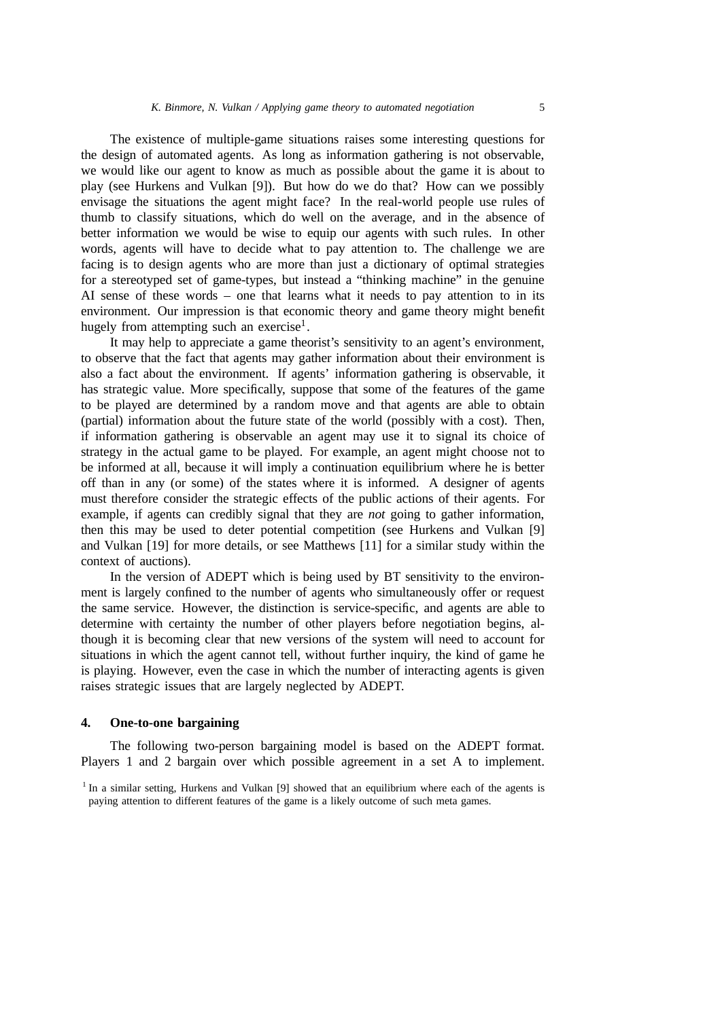The existence of multiple-game situations raises some interesting questions for the design of automated agents. As long as information gathering is not observable, we would like our agent to know as much as possible about the game it is about to play (see Hurkens and Vulkan [9]). But how do we do that? How can we possibly envisage the situations the agent might face? In the real-world people use rules of thumb to classify situations, which do well on the average, and in the absence of better information we would be wise to equip our agents with such rules. In other words, agents will have to decide what to pay attention to. The challenge we are facing is to design agents who are more than just a dictionary of optimal strategies for a stereotyped set of game-types, but instead a "thinking machine" in the genuine AI sense of these words – one that learns what it needs to pay attention to in its environment. Our impression is that economic theory and game theory might benefit hugely from attempting such an exercise<sup>1</sup>.

It may help to appreciate a game theorist's sensitivity to an agent's environment, to observe that the fact that agents may gather information about their environment is also a fact about the environment. If agents' information gathering is observable, it has strategic value. More specifically, suppose that some of the features of the game to be played are determined by a random move and that agents are able to obtain (partial) information about the future state of the world (possibly with a cost). Then, if information gathering is observable an agent may use it to signal its choice of strategy in the actual game to be played. For example, an agent might choose not to be informed at all, because it will imply a continuation equilibrium where he is better off than in any (or some) of the states where it is informed. A designer of agents must therefore consider the strategic effects of the public actions of their agents. For example, if agents can credibly signal that they are *not* going to gather information, then this may be used to deter potential competition (see Hurkens and Vulkan [9] and Vulkan [19] for more details, or see Matthews [11] for a similar study within the context of auctions).

In the version of ADEPT which is being used by BT sensitivity to the environment is largely confined to the number of agents who simultaneously offer or request the same service. However, the distinction is service-specific, and agents are able to determine with certainty the number of other players before negotiation begins, although it is becoming clear that new versions of the system will need to account for situations in which the agent cannot tell, without further inquiry, the kind of game he is playing. However, even the case in which the number of interacting agents is given raises strategic issues that are largely neglected by ADEPT.

#### **4. One-to-one bargaining**

The following two-person bargaining model is based on the ADEPT format. Players 1 and 2 bargain over which possible agreement in a set A to implement.

<sup>&</sup>lt;sup>1</sup> In a similar setting, Hurkens and Vulkan [9] showed that an equilibrium where each of the agents is paying attention to different features of the game is a likely outcome of such meta games.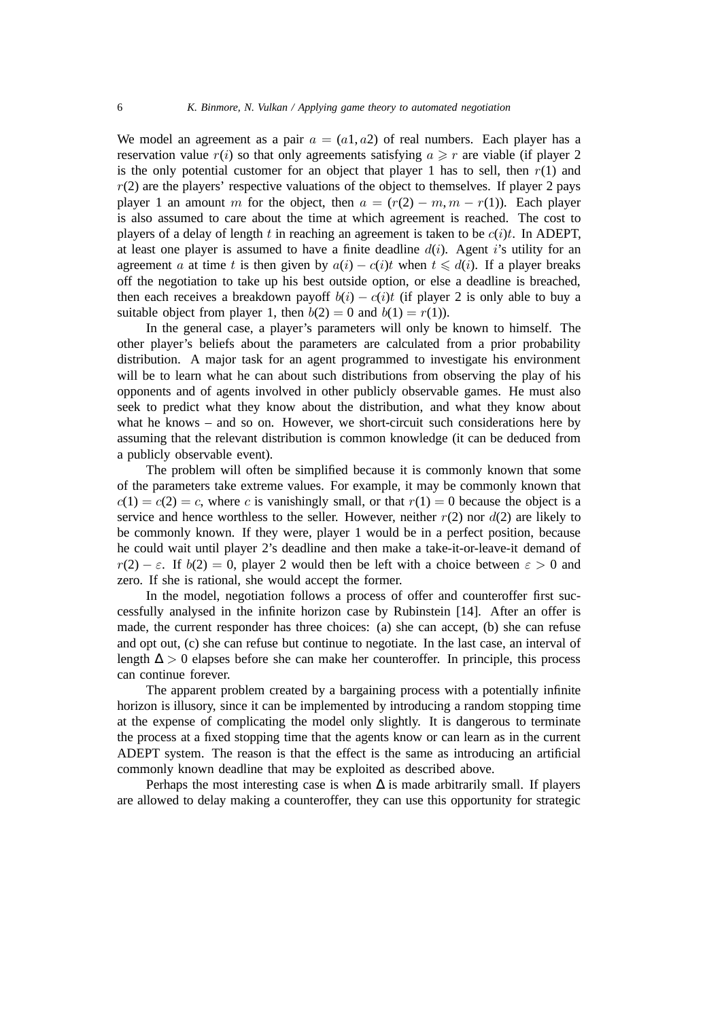We model an agreement as a pair  $a = (a_1, a_2)$  of real numbers. Each player has a reservation value  $r(i)$  so that only agreements satisfying  $a \geq r$  are viable (if player 2) is the only potential customer for an object that player 1 has to sell, then  $r(1)$  and  $r(2)$  are the players' respective valuations of the object to themselves. If player 2 pays player 1 an amount m for the object, then  $a = (r(2) - m, m - r(1))$ . Each player is also assumed to care about the time at which agreement is reached. The cost to players of a delay of length t in reaching an agreement is taken to be  $c(i)t$ . In ADEPT, at least one player is assumed to have a finite deadline  $d(i)$ . Agent i's utility for an agreement a at time t is then given by  $a(i) - c(i)t$  when  $t \le d(i)$ . If a player breaks off the negotiation to take up his best outside option, or else a deadline is breached, then each receives a breakdown payoff  $b(i) - c(i)t$  (if player 2 is only able to buy a suitable object from player 1, then  $b(2) = 0$  and  $b(1) = r(1)$ .

In the general case, a player's parameters will only be known to himself. The other player's beliefs about the parameters are calculated from a prior probability distribution. A major task for an agent programmed to investigate his environment will be to learn what he can about such distributions from observing the play of his opponents and of agents involved in other publicly observable games. He must also seek to predict what they know about the distribution, and what they know about what he knows – and so on. However, we short-circuit such considerations here by assuming that the relevant distribution is common knowledge (it can be deduced from a publicly observable event).

The problem will often be simplified because it is commonly known that some of the parameters take extreme values. For example, it may be commonly known that  $c(1) = c(2) = c$ , where c is vanishingly small, or that  $r(1) = 0$  because the object is a service and hence worthless to the seller. However, neither  $r(2)$  nor  $d(2)$  are likely to be commonly known. If they were, player 1 would be in a perfect position, because he could wait until player 2's deadline and then make a take-it-or-leave-it demand of  $r(2) - \varepsilon$ . If  $b(2) = 0$ , player 2 would then be left with a choice between  $\varepsilon > 0$  and zero. If she is rational, she would accept the former.

In the model, negotiation follows a process of offer and counteroffer first successfully analysed in the infinite horizon case by Rubinstein [14]. After an offer is made, the current responder has three choices: (a) she can accept, (b) she can refuse and opt out, (c) she can refuse but continue to negotiate. In the last case, an interval of length  $\Delta > 0$  elapses before she can make her counteroffer. In principle, this process can continue forever.

The apparent problem created by a bargaining process with a potentially infinite horizon is illusory, since it can be implemented by introducing a random stopping time at the expense of complicating the model only slightly. It is dangerous to terminate the process at a fixed stopping time that the agents know or can learn as in the current ADEPT system. The reason is that the effect is the same as introducing an artificial commonly known deadline that may be exploited as described above.

Perhaps the most interesting case is when  $\Delta$  is made arbitrarily small. If players are allowed to delay making a counteroffer, they can use this opportunity for strategic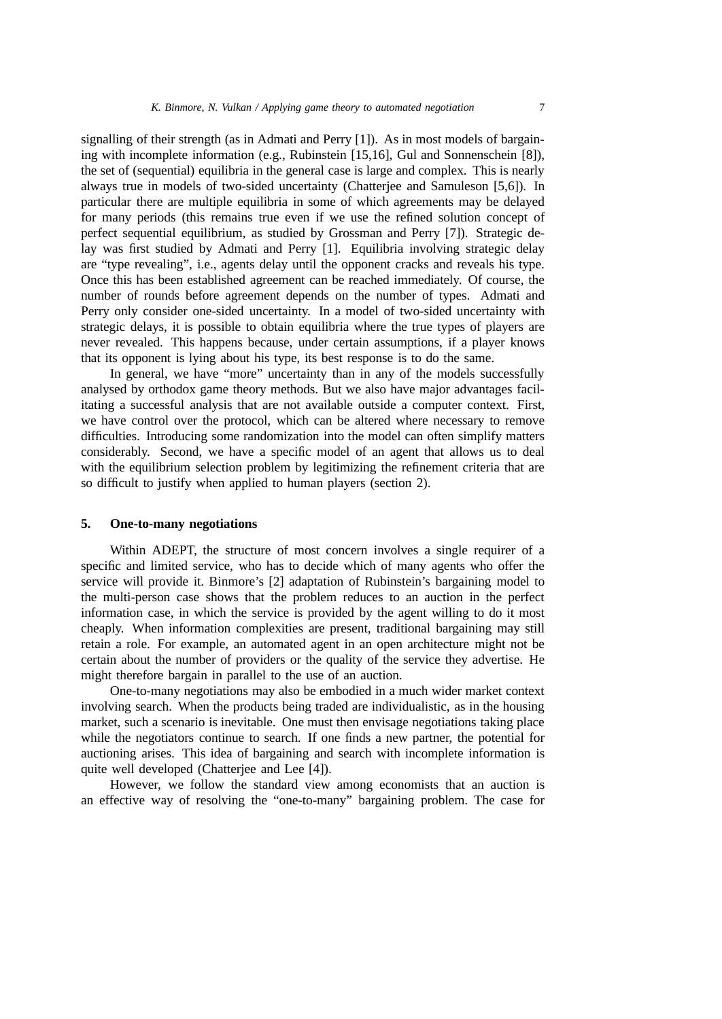signalling of their strength (as in Admati and Perry [1]). As in most models of bargaining with incomplete information (e.g., Rubinstein [15,16], Gul and Sonnenschein [8]), the set of (sequential) equilibria in the general case is large and complex. This is nearly always true in models of two-sided uncertainty (Chatterjee and Samuleson [5,6]). In particular there are multiple equilibria in some of which agreements may be delayed for many periods (this remains true even if we use the refined solution concept of perfect sequential equilibrium, as studied by Grossman and Perry [7]). Strategic delay was first studied by Admati and Perry [1]. Equilibria involving strategic delay are "type revealing", i.e., agents delay until the opponent cracks and reveals his type. Once this has been established agreement can be reached immediately. Of course, the number of rounds before agreement depends on the number of types. Admati and Perry only consider one-sided uncertainty. In a model of two-sided uncertainty with strategic delays, it is possible to obtain equilibria where the true types of players are never revealed. This happens because, under certain assumptions, if a player knows that its opponent is lying about his type, its best response is to do the same.

In general, we have "more" uncertainty than in any of the models successfully analysed by orthodox game theory methods. But we also have major advantages facilitating a successful analysis that are not available outside a computer context. First, we have control over the protocol, which can be altered where necessary to remove difficulties. Introducing some randomization into the model can often simplify matters considerably. Second, we have a specific model of an agent that allows us to deal with the equilibrium selection problem by legitimizing the refinement criteria that are so difficult to justify when applied to human players (section 2).

# **5. One-to-many negotiations**

Within ADEPT, the structure of most concern involves a single requirer of a specific and limited service, who has to decide which of many agents who offer the service will provide it. Binmore's [2] adaptation of Rubinstein's bargaining model to the multi-person case shows that the problem reduces to an auction in the perfect information case, in which the service is provided by the agent willing to do it most cheaply. When information complexities are present, traditional bargaining may still retain a role. For example, an automated agent in an open architecture might not be certain about the number of providers or the quality of the service they advertise. He might therefore bargain in parallel to the use of an auction.

One-to-many negotiations may also be embodied in a much wider market context involving search. When the products being traded are individualistic, as in the housing market, such a scenario is inevitable. One must then envisage negotiations taking place while the negotiators continue to search. If one finds a new partner, the potential for auctioning arises. This idea of bargaining and search with incomplete information is quite well developed (Chatterjee and Lee [4]).

However, we follow the standard view among economists that an auction is an effective way of resolving the "one-to-many" bargaining problem. The case for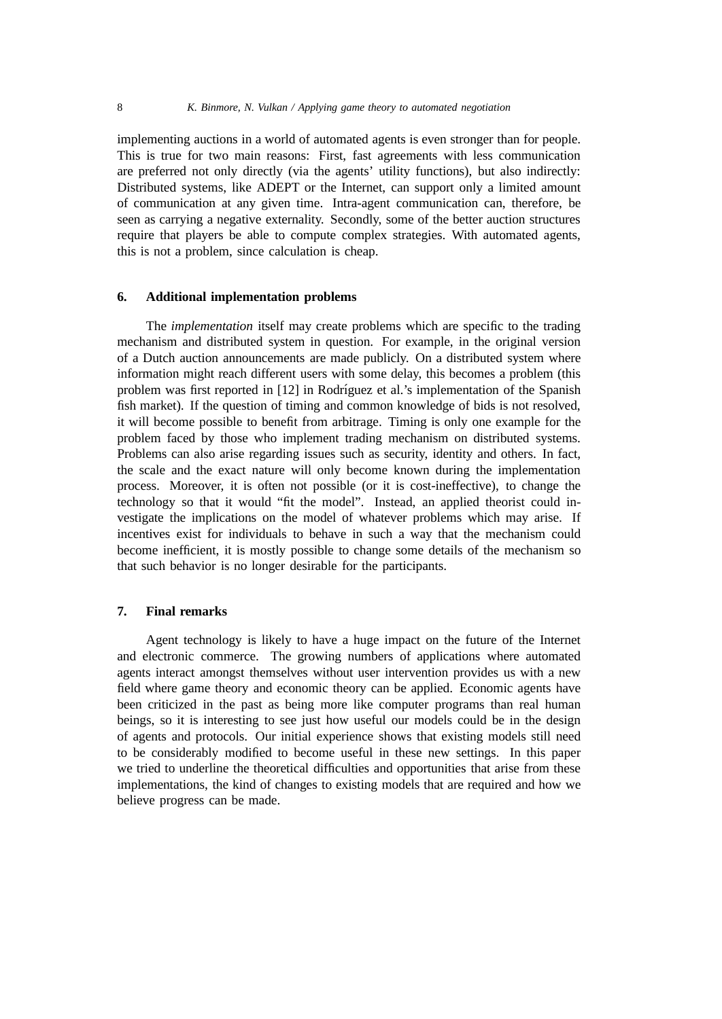implementing auctions in a world of automated agents is even stronger than for people. This is true for two main reasons: First, fast agreements with less communication are preferred not only directly (via the agents' utility functions), but also indirectly: Distributed systems, like ADEPT or the Internet, can support only a limited amount of communication at any given time. Intra-agent communication can, therefore, be seen as carrying a negative externality. Secondly, some of the better auction structures require that players be able to compute complex strategies. With automated agents, this is not a problem, since calculation is cheap.

# **6. Additional implementation problems**

The *implementation* itself may create problems which are specific to the trading mechanism and distributed system in question. For example, in the original version of a Dutch auction announcements are made publicly. On a distributed system where information might reach different users with some delay, this becomes a problem (this problem was first reported in [12] in Rodríguez et al.'s implementation of the Spanish fish market). If the question of timing and common knowledge of bids is not resolved, it will become possible to benefit from arbitrage. Timing is only one example for the problem faced by those who implement trading mechanism on distributed systems. Problems can also arise regarding issues such as security, identity and others. In fact, the scale and the exact nature will only become known during the implementation process. Moreover, it is often not possible (or it is cost-ineffective), to change the technology so that it would "fit the model". Instead, an applied theorist could investigate the implications on the model of whatever problems which may arise. If incentives exist for individuals to behave in such a way that the mechanism could become inefficient, it is mostly possible to change some details of the mechanism so that such behavior is no longer desirable for the participants.

# **7. Final remarks**

Agent technology is likely to have a huge impact on the future of the Internet and electronic commerce. The growing numbers of applications where automated agents interact amongst themselves without user intervention provides us with a new field where game theory and economic theory can be applied. Economic agents have been criticized in the past as being more like computer programs than real human beings, so it is interesting to see just how useful our models could be in the design of agents and protocols. Our initial experience shows that existing models still need to be considerably modified to become useful in these new settings. In this paper we tried to underline the theoretical difficulties and opportunities that arise from these implementations, the kind of changes to existing models that are required and how we believe progress can be made.